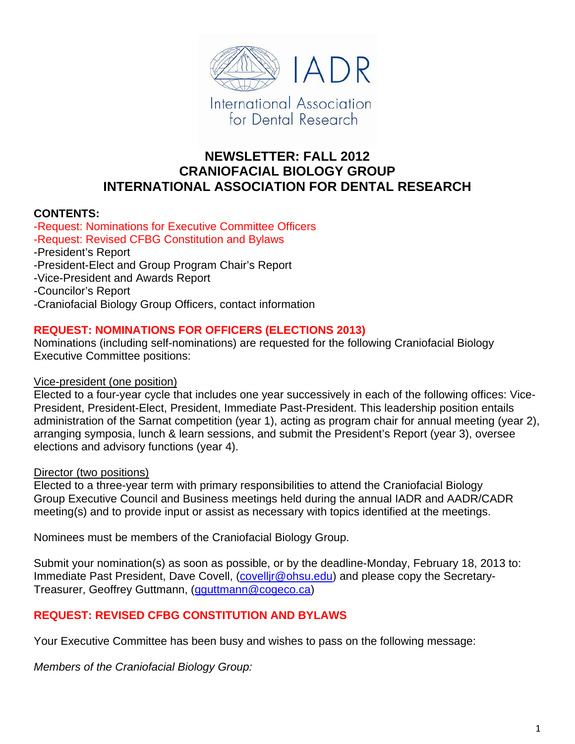

# **NEWSLETTER: FALL 2012 CRANIOFACIAL BIOLOGY GROUP INTERNATIONAL ASSOCIATION FOR DENTAL RESEARCH**

## **CONTENTS:**

-Request: Nominations for Executive Committee Officers -Request: Revised CFBG Constitution and Bylaws -President's Report -President-Elect and Group Program Chair's Report -Vice-President and Awards Report -Councilor's Report -Craniofacial Biology Group Officers, contact information

## **REQUEST: NOMINATIONS FOR OFFICERS (ELECTIONS 2013)**

Nominations (including self-nominations) are requested for the following Craniofacial Biology Executive Committee positions:

### Vice-president (one position)

Elected to a four-year cycle that includes one year successively in each of the following offices: Vice-President, President-Elect, President, Immediate Past-President. This leadership position entails administration of the Sarnat competition (year 1), acting as program chair for annual meeting (year 2), arranging symposia, lunch & learn sessions, and submit the President's Report (year 3), oversee elections and advisory functions (year 4).

### Director (two positions)

Elected to a three-year term with primary responsibilities to attend the Craniofacial Biology Group Executive Council and Business meetings held during the annual IADR and AADR/CADR meeting(s) and to provide input or assist as necessary with topics identified at the meetings.

Nominees must be members of the Craniofacial Biology Group.

Submit your nomination(s) as soon as possible, or by the deadline-Monday, February 18, 2013 to: Immediate Past President, Dave Covell, (covellig @ohsu.edu) and please copy the Secretary-Treasurer, Geoffrey Guttmann, (gguttmann@cogeco.ca)

## **REQUEST: REVISED CFBG CONSTITUTION AND BYLAWS**

Your Executive Committee has been busy and wishes to pass on the following message:

*Members of the Craniofacial Biology Group:*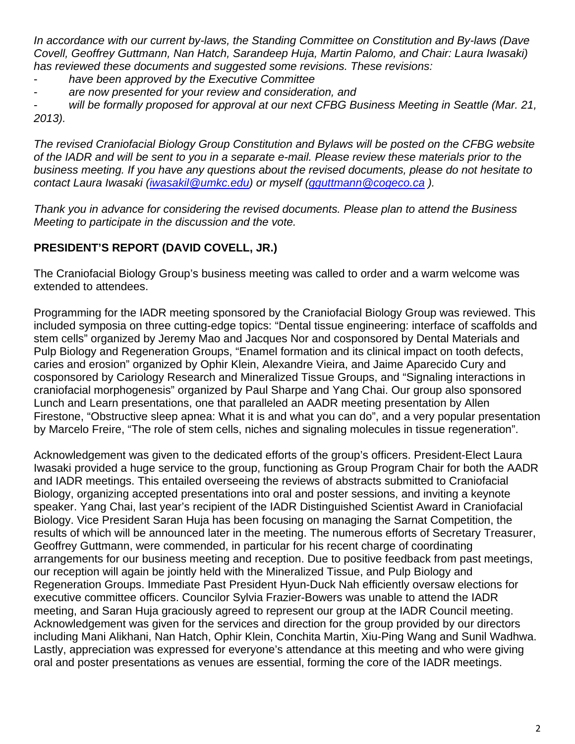*In accordance with our current by-laws, the Standing Committee on Constitution and By-laws (Dave Covell, Geoffrey Guttmann, Nan Hatch, Sarandeep Huja, Martin Palomo, and Chair: Laura Iwasaki) has reviewed these documents and suggested some revisions. These revisions:*

- have been approved by the Executive Committee
- are now presented for your review and consideration, and

- *will be formally proposed for approval at our next CFBG Business Meeting in Seattle (Mar. 21, 2013).* 

*The revised Craniofacial Biology Group Constitution and Bylaws will be posted on the CFBG website of the IADR and will be sent to you in a separate e-mail. Please review these materials prior to the business meeting. If you have any questions about the revised documents, please do not hesitate to contact Laura Iwasaki (iwasakil@umkc.edu) or myself (gguttmann@cogeco.ca ).* 

*Thank you in advance for considering the revised documents. Please plan to attend the Business Meeting to participate in the discussion and the vote.*

# **PRESIDENT'S REPORT (DAVID COVELL, JR.)**

The Craniofacial Biology Group's business meeting was called to order and a warm welcome was extended to attendees.

Programming for the IADR meeting sponsored by the Craniofacial Biology Group was reviewed. This included symposia on three cutting-edge topics: "Dental tissue engineering: interface of scaffolds and stem cells" organized by Jeremy Mao and Jacques Nor and cosponsored by Dental Materials and Pulp Biology and Regeneration Groups, "Enamel formation and its clinical impact on tooth defects, caries and erosion" organized by Ophir Klein, Alexandre Vieira, and Jaime Aparecido Cury and cosponsored by Cariology Research and Mineralized Tissue Groups, and "Signaling interactions in craniofacial morphogenesis" organized by Paul Sharpe and Yang Chai. Our group also sponsored Lunch and Learn presentations, one that paralleled an AADR meeting presentation by Allen Firestone, "Obstructive sleep apnea: What it is and what you can do", and a very popular presentation by Marcelo Freire, "The role of stem cells, niches and signaling molecules in tissue regeneration".

Acknowledgement was given to the dedicated efforts of the group's officers. President-Elect Laura Iwasaki provided a huge service to the group, functioning as Group Program Chair for both the AADR and IADR meetings. This entailed overseeing the reviews of abstracts submitted to Craniofacial Biology, organizing accepted presentations into oral and poster sessions, and inviting a keynote speaker. Yang Chai, last year's recipient of the IADR Distinguished Scientist Award in Craniofacial Biology. Vice President Saran Huja has been focusing on managing the Sarnat Competition, the results of which will be announced later in the meeting. The numerous efforts of Secretary Treasurer, Geoffrey Guttmann, were commended, in particular for his recent charge of coordinating arrangements for our business meeting and reception. Due to positive feedback from past meetings, our reception will again be jointly held with the Mineralized Tissue, and Pulp Biology and Regeneration Groups. Immediate Past President Hyun-Duck Nah efficiently oversaw elections for executive committee officers. Councilor Sylvia Frazier-Bowers was unable to attend the IADR meeting, and Saran Huja graciously agreed to represent our group at the IADR Council meeting. Acknowledgement was given for the services and direction for the group provided by our directors including Mani Alikhani, Nan Hatch, Ophir Klein, Conchita Martin, Xiu-Ping Wang and Sunil Wadhwa. Lastly, appreciation was expressed for everyone's attendance at this meeting and who were giving oral and poster presentations as venues are essential, forming the core of the IADR meetings.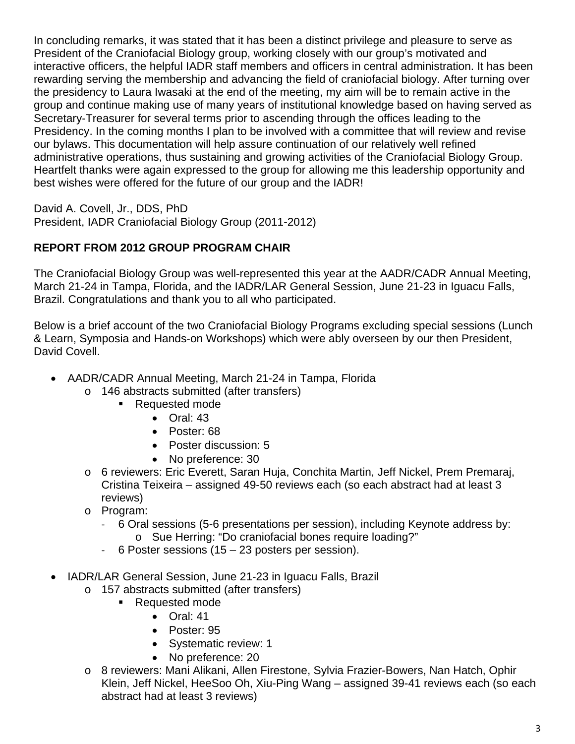In concluding remarks, it was stated that it has been a distinct privilege and pleasure to serve as President of the Craniofacial Biology group, working closely with our group's motivated and interactive officers, the helpful IADR staff members and officers in central administration. It has been rewarding serving the membership and advancing the field of craniofacial biology. After turning over the presidency to Laura Iwasaki at the end of the meeting, my aim will be to remain active in the group and continue making use of many years of institutional knowledge based on having served as Secretary-Treasurer for several terms prior to ascending through the offices leading to the Presidency. In the coming months I plan to be involved with a committee that will review and revise our bylaws. This documentation will help assure continuation of our relatively well refined administrative operations, thus sustaining and growing activities of the Craniofacial Biology Group. Heartfelt thanks were again expressed to the group for allowing me this leadership opportunity and best wishes were offered for the future of our group and the IADR!

David A. Covell, Jr., DDS, PhD

President, IADR Craniofacial Biology Group (2011-2012)

# **REPORT FROM 2012 GROUP PROGRAM CHAIR**

The Craniofacial Biology Group was well-represented this year at the AADR/CADR Annual Meeting, March 21-24 in Tampa, Florida, and the IADR/LAR General Session, June 21-23 in Iguacu Falls, Brazil. Congratulations and thank you to all who participated.

Below is a brief account of the two Craniofacial Biology Programs excluding special sessions (Lunch & Learn, Symposia and Hands-on Workshops) which were ably overseen by our then President, David Covell.

- AADR/CADR Annual Meeting, March 21-24 in Tampa, Florida
	- o 146 abstracts submitted (after transfers)
		- Requested mode
			- Oral: 43
			- Poster: 68
			- Poster discussion: 5
			- No preference: 30
	- o 6 reviewers: Eric Everett, Saran Huja, Conchita Martin, Jeff Nickel, Prem Premaraj, Cristina Teixeira – assigned 49-50 reviews each (so each abstract had at least 3 reviews)
	- o Program:
		- ‐ 6 Oral sessions (5-6 presentations per session), including Keynote address by: o Sue Herring: "Do craniofacial bones require loading?"
		- ‐ 6 Poster sessions (15 23 posters per session).
- IADR/LAR General Session, June 21-23 in Iguacu Falls, Brazil
	- o 157 abstracts submitted (after transfers)
		- Requested mode
			- Oral: 41
			- Poster: 95
			- Systematic review: 1
			- No preference: 20
	- o 8 reviewers: Mani Alikani, Allen Firestone, Sylvia Frazier-Bowers, Nan Hatch, Ophir Klein, Jeff Nickel, HeeSoo Oh, Xiu-Ping Wang – assigned 39-41 reviews each (so each abstract had at least 3 reviews)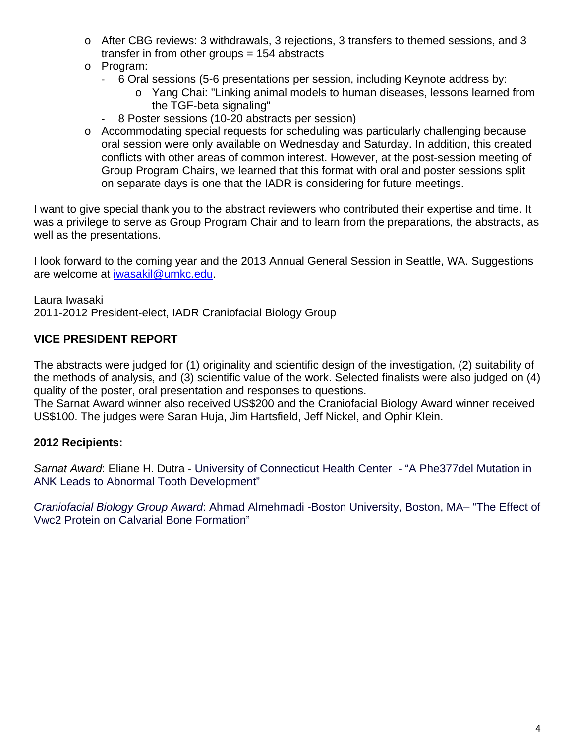- o After CBG reviews: 3 withdrawals, 3 rejections, 3 transfers to themed sessions, and 3 transfer in from other groups = 154 abstracts
- o Program:
	- ‐ 6 Oral sessions (5-6 presentations per session, including Keynote address by:
		- o Yang Chai: "Linking animal models to human diseases, lessons learned from the TGF-beta signaling"
	- ‐ 8 Poster sessions (10-20 abstracts per session)
- o Accommodating special requests for scheduling was particularly challenging because oral session were only available on Wednesday and Saturday. In addition, this created conflicts with other areas of common interest. However, at the post-session meeting of Group Program Chairs, we learned that this format with oral and poster sessions split on separate days is one that the IADR is considering for future meetings.

I want to give special thank you to the abstract reviewers who contributed their expertise and time. It was a privilege to serve as Group Program Chair and to learn from the preparations, the abstracts, as well as the presentations.

I look forward to the coming year and the 2013 Annual General Session in Seattle, WA. Suggestions are welcome at iwasakil@umkc.edu.

Laura Iwasaki 2011-2012 President-elect, IADR Craniofacial Biology Group

# **VICE PRESIDENT REPORT**

The abstracts were judged for (1) originality and scientific design of the investigation, (2) suitability of the methods of analysis, and (3) scientific value of the work. Selected finalists were also judged on (4) quality of the poster, oral presentation and responses to questions.

The Sarnat Award winner also received US\$200 and the Craniofacial Biology Award winner received US\$100. The judges were Saran Huja, Jim Hartsfield, Jeff Nickel, and Ophir Klein.

## **2012 Recipients:**

*Sarnat Award*: Eliane H. Dutra - University of Connecticut Health Center - "A Phe377del Mutation in ANK Leads to Abnormal Tooth Development"

*Craniofacial Biology Group Award*: Ahmad Almehmadi -Boston University, Boston, MA– "The Effect of Vwc2 Protein on Calvarial Bone Formation"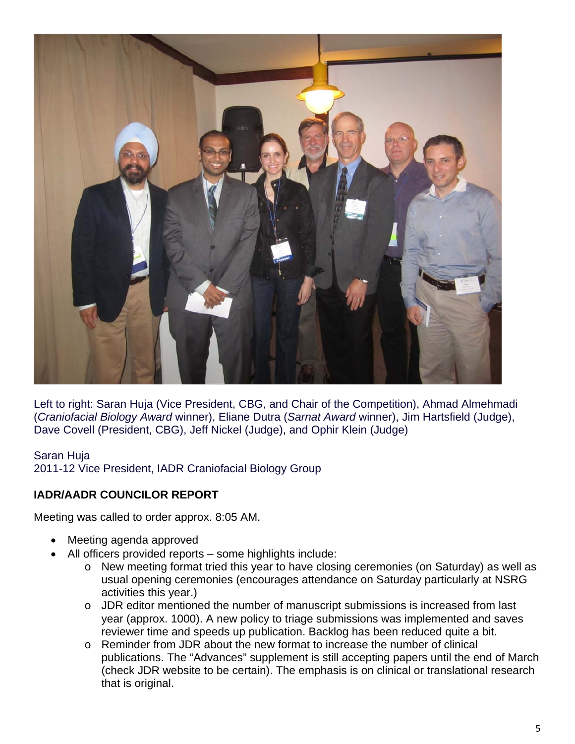

Left to right: Saran Huja (Vice President, CBG, and Chair of the Competition), Ahmad Almehmadi (*Craniofacial Biology Award* winner), Eliane Dutra (*Sarnat Award* winner), Jim Hartsfield (Judge), Dave Covell (President, CBG), Jeff Nickel (Judge), and Ophir Klein (Judge)

## Saran Huja 2011-12 Vice President, IADR Craniofacial Biology Group

## **IADR/AADR COUNCILOR REPORT**

Meeting was called to order approx. 8:05 AM.

- Meeting agenda approved
- All officers provided reports some highlights include:
	- o New meeting format tried this year to have closing ceremonies (on Saturday) as well as usual opening ceremonies (encourages attendance on Saturday particularly at NSRG activities this year.)
	- o JDR editor mentioned the number of manuscript submissions is increased from last year (approx. 1000). A new policy to triage submissions was implemented and saves reviewer time and speeds up publication. Backlog has been reduced quite a bit.
	- o Reminder from JDR about the new format to increase the number of clinical publications. The "Advances" supplement is still accepting papers until the end of March (check JDR website to be certain). The emphasis is on clinical or translational research that is original.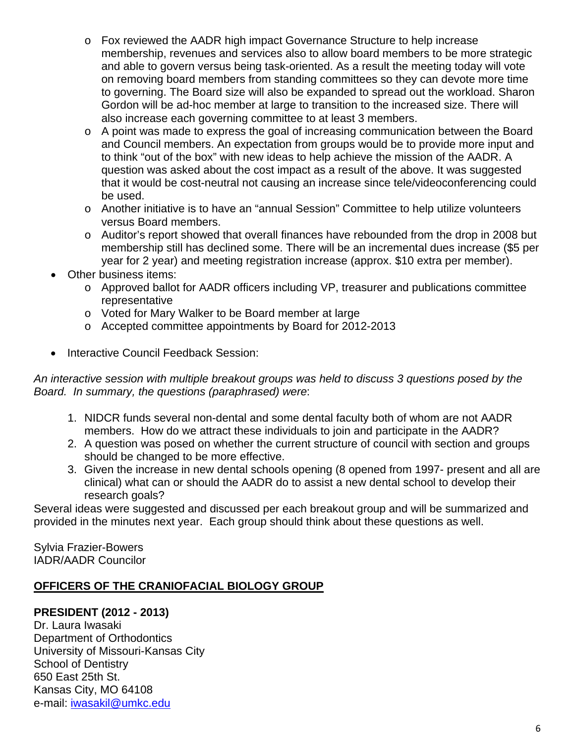- o Fox reviewed the AADR high impact Governance Structure to help increase membership, revenues and services also to allow board members to be more strategic and able to govern versus being task-oriented. As a result the meeting today will vote on removing board members from standing committees so they can devote more time to governing. The Board size will also be expanded to spread out the workload. Sharon Gordon will be ad-hoc member at large to transition to the increased size. There will also increase each governing committee to at least 3 members.
- $\circ$  A point was made to express the goal of increasing communication between the Board and Council members. An expectation from groups would be to provide more input and to think "out of the box" with new ideas to help achieve the mission of the AADR. A question was asked about the cost impact as a result of the above. It was suggested that it would be cost-neutral not causing an increase since tele/videoconferencing could be used.
- o Another initiative is to have an "annual Session" Committee to help utilize volunteers versus Board members.
- o Auditor's report showed that overall finances have rebounded from the drop in 2008 but membership still has declined some. There will be an incremental dues increase (\$5 per year for 2 year) and meeting registration increase (approx. \$10 extra per member).
- Other business items:
	- o Approved ballot for AADR officers including VP, treasurer and publications committee representative
	- o Voted for Mary Walker to be Board member at large
	- o Accepted committee appointments by Board for 2012-2013
- Interactive Council Feedback Session:

*An interactive session with multiple breakout groups was held to discuss 3 questions posed by the Board. In summary, the questions (paraphrased) were*:

- 1. NIDCR funds several non-dental and some dental faculty both of whom are not AADR members. How do we attract these individuals to join and participate in the AADR?
- 2. A question was posed on whether the current structure of council with section and groups should be changed to be more effective.
- 3. Given the increase in new dental schools opening (8 opened from 1997- present and all are clinical) what can or should the AADR do to assist a new dental school to develop their research goals?

Several ideas were suggested and discussed per each breakout group and will be summarized and provided in the minutes next year. Each group should think about these questions as well.

Sylvia Frazier-Bowers IADR/AADR Councilor

## **OFFICERS OF THE CRANIOFACIAL BIOLOGY GROUP**

## **PRESIDENT (2012 - 2013)**

Dr. Laura Iwasaki Department of Orthodontics University of Missouri-Kansas City School of Dentistry 650 East 25th St. Kansas City, MO 64108 e-mail: iwasakil@umkc.edu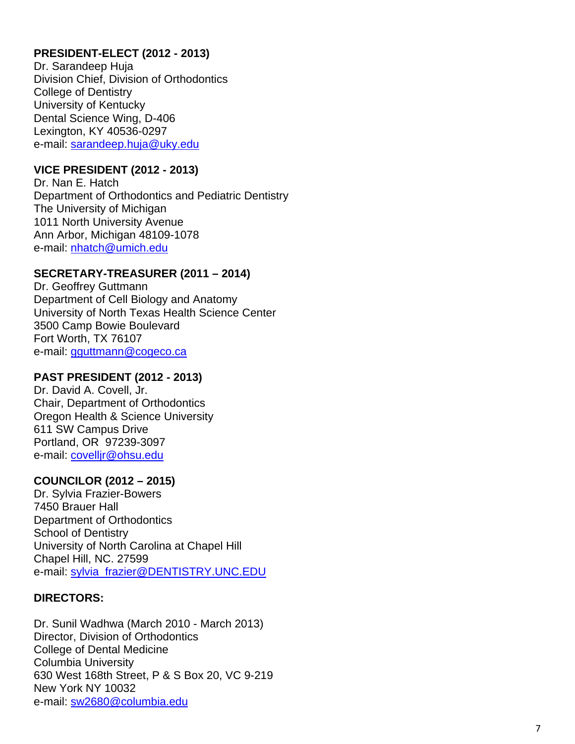## **PRESIDENT-ELECT (2012 - 2013)**

Dr. Sarandeep Huja Division Chief, Division of Orthodontics College of Dentistry University of Kentucky Dental Science Wing, D-406 Lexington, KY 40536-0297 e-mail: sarandeep.huja@uky.edu

### **VICE PRESIDENT (2012 - 2013)**

Dr. Nan E. Hatch Department of Orthodontics and Pediatric Dentistry The University of Michigan 1011 North University Avenue Ann Arbor, Michigan 48109-1078 e-mail: nhatch@umich.edu

## **SECRETARY-TREASURER (2011 – 2014)**

Dr. Geoffrey Guttmann Department of Cell Biology and Anatomy University of North Texas Health Science Center 3500 Camp Bowie Boulevard Fort Worth, TX 76107 e-mail: gguttmann@cogeco.ca

### **PAST PRESIDENT (2012 - 2013)**

Dr. David A. Covell, Jr. Chair, Department of Orthodontics Oregon Health & Science University 611 SW Campus Drive Portland, OR 97239-3097 e-mail: covelljr@ohsu.edu

### **COUNCILOR (2012 – 2015)**

Dr. Sylvia Frazier-Bowers 7450 Brauer Hall Department of Orthodontics School of Dentistry University of North Carolina at Chapel Hill Chapel Hill, NC. 27599 e-mail: sylvia\_frazier@DENTISTRY.UNC.EDU

### **DIRECTORS:**

Dr. Sunil Wadhwa (March 2010 - March 2013) Director, Division of Orthodontics College of Dental Medicine Columbia University 630 West 168th Street, P & S Box 20, VC 9-219 New York NY 10032 e-mail: sw2680@columbia.edu